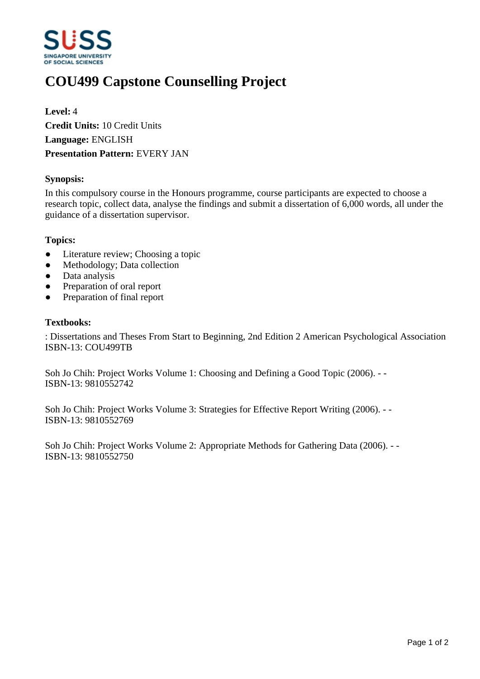

# **COU499 Capstone Counselling Project**

**Level:** 4 **Credit Units:** 10 Credit Units **Language:** ENGLISH **Presentation Pattern:** EVERY JAN

## **Synopsis:**

In this compulsory course in the Honours programme, course participants are expected to choose a research topic, collect data, analyse the findings and submit a dissertation of 6,000 words, all under the guidance of a dissertation supervisor.

#### **Topics:**

- Literature review; Choosing a topic
- Methodology; Data collection
- Data analysis
- Preparation of oral report
- Preparation of final report

#### **Textbooks:**

: Dissertations and Theses From Start to Beginning, 2nd Edition 2 American Psychological Association ISBN-13: COU499TB

Soh Jo Chih: Project Works Volume 1: Choosing and Defining a Good Topic (2006). - - ISBN-13: 9810552742

Soh Jo Chih: Project Works Volume 3: Strategies for Effective Report Writing (2006). - - ISBN-13: 9810552769

Soh Jo Chih: Project Works Volume 2: Appropriate Methods for Gathering Data (2006). - - ISBN-13: 9810552750